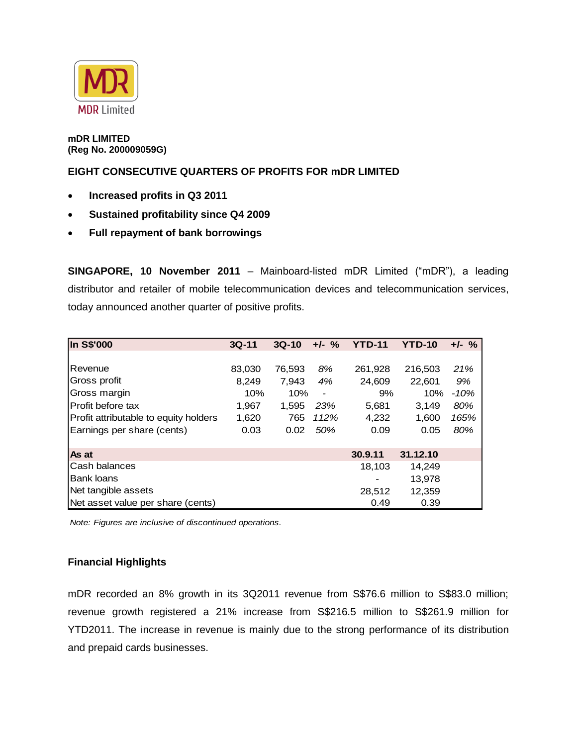

**mDR LIMITED (Reg No. 200009059G)**

## **EIGHT CONSECUTIVE QUARTERS OF PROFITS FOR mDR LIMITED**

- **Increased profits in Q3 2011**
- **Sustained profitability since Q4 2009**
- **Full repayment of bank borrowings**

**SINGAPORE, 10 November 2011** – Mainboard-listed mDR Limited ("mDR"), a leading distributor and retailer of mobile telecommunication devices and telecommunication services, today announced another quarter of positive profits.

| In S\$'000                            | $3Q-11$ | $3Q-10$ | $+/-$ %                      | <b>YTD-11</b> | <b>YTD-10</b> | $+/-$ % |
|---------------------------------------|---------|---------|------------------------------|---------------|---------------|---------|
|                                       |         |         |                              |               |               |         |
| Revenue                               | 83,030  | 76,593  | 8%                           | 261,928       | 216,503       | 21%     |
| Gross profit                          | 8,249   | 7,943   | 4%                           | 24,609        | 22,601        | 9%      |
| Gross margin                          | 10%     | 10%     | $\qquad \qquad \blacksquare$ | 9%            | 10%           | $-10%$  |
| Profit before tax                     | 1,967   | 1,595   | 23%                          | 5,681         | 3,149         | 80%     |
| Profit attributable to equity holders | 1,620   | 765     | 112%                         | 4,232         | 1,600         | 165%    |
| Earnings per share (cents)            | 0.03    | 0.02    | 50%                          | 0.09          | 0.05          | 80%     |
|                                       |         |         |                              |               |               |         |
| As at                                 |         |         |                              | 30.9.11       | 31.12.10      |         |
| Cash balances                         |         |         |                              | 18,103        | 14,249        |         |
| <b>Bank loans</b>                     |         |         |                              |               | 13,978        |         |
| Net tangible assets                   |         |         |                              | 28,512        | 12,359        |         |
| Net asset value per share (cents)     |         |         |                              | 0.49          | 0.39          |         |

*Note: Figures are inclusive of discontinued operations.*

## **Financial Highlights**

mDR recorded an 8% growth in its 3Q2011 revenue from S\$76.6 million to S\$83.0 million; revenue growth registered a 21% increase from S\$216.5 million to S\$261.9 million for YTD2011. The increase in revenue is mainly due to the strong performance of its distribution and prepaid cards businesses.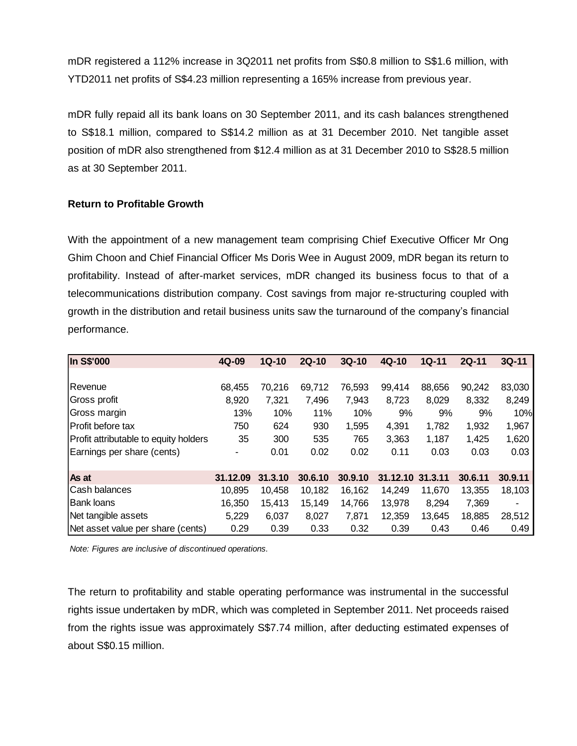mDR registered a 112% increase in 3Q2011 net profits from S\$0.8 million to S\$1.6 million, with YTD2011 net profits of S\$4.23 million representing a 165% increase from previous year.

mDR fully repaid all its bank loans on 30 September 2011, and its cash balances strengthened to S\$18.1 million, compared to S\$14.2 million as at 31 December 2010. Net tangible asset position of mDR also strengthened from \$12.4 million as at 31 December 2010 to S\$28.5 million as at 30 September 2011.

## **Return to Profitable Growth**

With the appointment of a new management team comprising Chief Executive Officer Mr Ong Ghim Choon and Chief Financial Officer Ms Doris Wee in August 2009, mDR began its return to profitability. Instead of after-market services, mDR changed its business focus to that of a telecommunications distribution company. Cost savings from major re-structuring coupled with growth in the distribution and retail business units saw the turnaround of the company's financial performance.

| In S\$'000                            | 4Q-09    | $1Q-10$ | $2Q-10$ | $3Q-10$ | $4Q-10$  | $1Q-11$ | $2Q-11$ | $3Q-11$                  |
|---------------------------------------|----------|---------|---------|---------|----------|---------|---------|--------------------------|
|                                       |          |         |         |         |          |         |         |                          |
| Revenue                               | 68,455   | 70,216  | 69,712  | 76,593  | 99,414   | 88,656  | 90,242  | 83,030                   |
| Gross profit                          | 8,920    | 7,321   | 7,496   | 7,943   | 8,723    | 8,029   | 8,332   | 8,249                    |
| Gross margin                          | 13%      | 10%     | 11%     | 10%     | 9%       | 9%      | 9%      | 10%                      |
| Profit before tax                     | 750      | 624     | 930     | 1,595   | 4,391    | 1,782   | 1,932   | 1,967                    |
| Profit attributable to equity holders | 35       | 300     | 535     | 765     | 3,363    | 1,187   | 1,425   | 1,620                    |
| Earnings per share (cents)            | ۰        | 0.01    | 0.02    | 0.02    | 0.11     | 0.03    | 0.03    | 0.03                     |
|                                       |          |         |         |         |          |         |         |                          |
| As at                                 | 31.12.09 | 31.3.10 | 30.6.10 | 30.9.10 | 31.12.10 | 31.3.11 | 30.6.11 | 30.9.11                  |
| Cash balances                         | 10,895   | 10,458  | 10,182  | 16.162  | 14,249   | 11.670  | 13,355  | 18,103                   |
| <b>Bank loans</b>                     | 16,350   | 15,413  | 15,149  | 14,766  | 13,978   | 8,294   | 7,369   | $\overline{\phantom{a}}$ |
| Net tangible assets                   | 5,229    | 6,037   | 8,027   | 7,871   | 12,359   | 13,645  | 18,885  | 28,512                   |
| Net asset value per share (cents)     | 0.29     | 0.39    | 0.33    | 0.32    | 0.39     | 0.43    | 0.46    | 0.49                     |

*Note: Figures are inclusive of discontinued operations.*

The return to profitability and stable operating performance was instrumental in the successful rights issue undertaken by mDR, which was completed in September 2011. Net proceeds raised from the rights issue was approximately S\$7.74 million, after deducting estimated expenses of about S\$0.15 million.